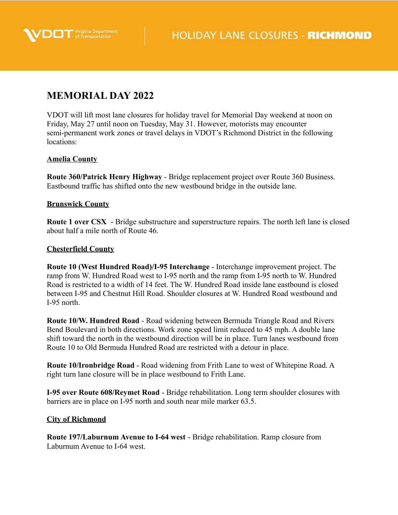



# **MEMORIAL DAY 2022**

VDOT will lift most lane closures for holiday travel for Memorial Day weekend at noon on Friday, May 27 until noon on Tuesday, May 31. However, motorists may encounter semi-permanent work zones or travel delays in VDOT's Richmond District in the following locations:

# **Amelia County**

**Route 360/Patrick Henry Highway** - Bridge replacement project over Route 360 Business. Eastbound traffic has shifted onto the new westbound bridge in the outside lane.

# **Brunswick County**

**Route 1 over CSX** - Bridge substructure and superstructure repairs. The north left lane is closed about half a mile north of Route 46.

## **Chesterfield County**

**Route 10 (West Hundred Road)/I-95 Interchange** - Interchange improvement project. The ramp from W. Hundred Road west to I-95 north and the ramp from I-95 north to W. Hundred Road is restricted to a width of 14 feet. The W. Hundred Road inside lane eastbound is closed between I-95 and Chestnut Hill Road. Shoulder closures at W. Hundred Road westbound and I-95 north.

**Route 10/W. Hundred Road** - Road widening between Bermuda Triangle Road and Rivers Bend Boulevard in both directions. Work zone speed limit reduced to 45 mph. A double lane shift toward the north in the westbound direction will be in place. Turn lanes westbound from Route 10 to Old Bermuda Hundred Road are restricted with a detour in place.

**Route 10/Ironbridge Road** - Road widening from Frith Lane to west of Whitepine Road. A right turn lane closure will be in place westbound to Frith Lane.

**I-95 over Route 608/Reymet Road** - Bridge rehabilitation. Long term shoulder closures with barriers are in place on I-95 north and south near mile marker 63.5.

#### **City of Richmond**

**Route 197/Laburnum Avenue to I-64 west** - Bridge rehabilitation. Ramp closure from Laburnum Avenue to I-64 west.